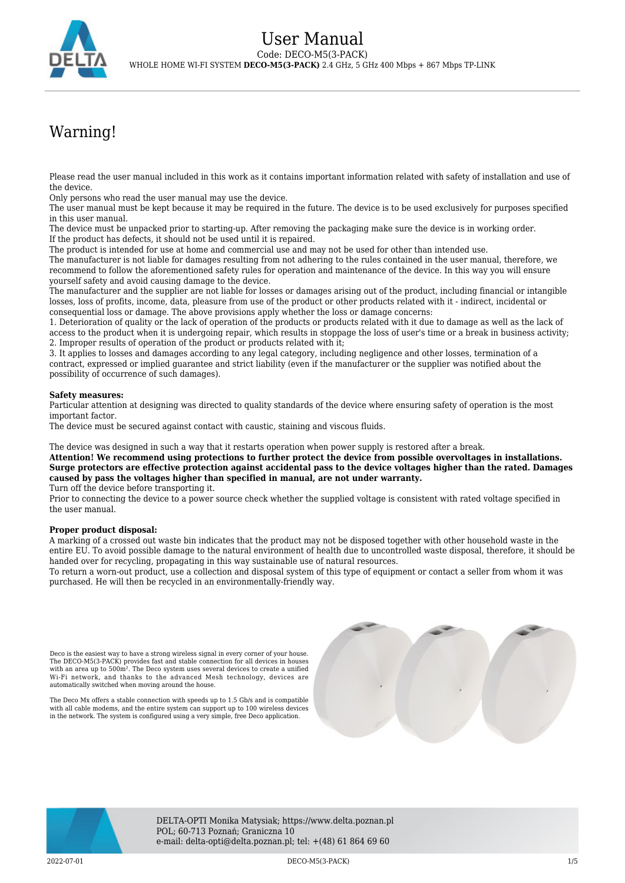## Warning!

Please read the user manual included in this work as it contains important information related with safety of installation and use of the device.

Only persons who read the user manual may use the device.

The user manual must be kept because it may be required in the future. The device is to be used exclusively for purposes specified in this user manual.

The device must be unpacked prior to starting-up. After removing the packaging make sure the device is in working order. If the product has defects, it should not be used until it is repaired.

The product is intended for use at home and commercial use and may not be used for other than intended use.

The manufacturer is not liable for damages resulting from not adhering to the rules contained in the user manual, therefore, we recommend to follow the aforementioned safety rules for operation and maintenance of the device. In this way you will ensure yourself safety and avoid causing damage to the device.

The manufacturer and the supplier are not liable for losses or damages arising out of the product, including financial or intangible losses, loss of profits, income, data, pleasure from use of the product or other products related with it - indirect, incidental or consequential loss or damage. The above provisions apply whether the loss or damage concerns:

1. Deterioration of quality or the lack of operation of the products or products related with it due to damage as well as the lack of access to the product when it is undergoing repair, which results in stoppage the loss of user's time or a break in business activity; 2. Improper results of operation of the product or products related with it;

3. It applies to losses and damages according to any legal category, including negligence and other losses, termination of a contract, expressed or implied guarantee and strict liability (even if the manufacturer or the supplier was notified about the possibility of occurrence of such damages).

## **Safety measures:**

Particular attention at designing was directed to quality standards of the device where ensuring safety of operation is the most important factor.

The device must be secured against contact with caustic, staining and viscous fluids.

The device was designed in such a way that it restarts operation when power supply is restored after a break.

**Attention! We recommend using protections to further protect the device from possible overvoltages in installations. Surge protectors are effective protection against accidental pass to the device voltages higher than the rated. Damages caused by pass the voltages higher than specified in manual, are not under warranty.**

Turn off the device before transporting it.

Prior to connecting the device to a power source check whether the supplied voltage is consistent with rated voltage specified in the user manual.

## **Proper product disposal:**

A marking of a crossed out waste bin indicates that the product may not be disposed together with other household waste in the entire EU. To avoid possible damage to the natural environment of health due to uncontrolled waste disposal, therefore, it should be handed over for recycling, propagating in this way sustainable use of natural resources.

To return a worn-out product, use a collection and disposal system of this type of equipment or contact a seller from whom it was purchased. He will then be recycled in an environmentally-friendly way.

Deco is the easiest way to have a strong wireless signal in every corner of your house. The DECO-M5(3-PACK) provides fast and stable connection for all devices in houses<br>with an area up to 500m?. The Deco system uses several devices to create a unified<br>Wi-Fi network, and thanks to the advanced Mesh technology automatically switched when moving around the house.

The Deco Mx offers a stable connection with speeds up to 1.5 Gb/s and is compatible with all cable modems, and the entire system can support up to 100 wireless devices in the network. The system is configured using a very simple, free Deco application.





DELTA-OPTI Monika Matysiak; https://www.delta.poznan.pl POL; 60-713 Poznań; Graniczna 10 e-mail: delta-opti@delta.poznan.pl; tel: +(48) 61 864 69 60

2022-07-01 DECO-M5(3-PACK) 1/5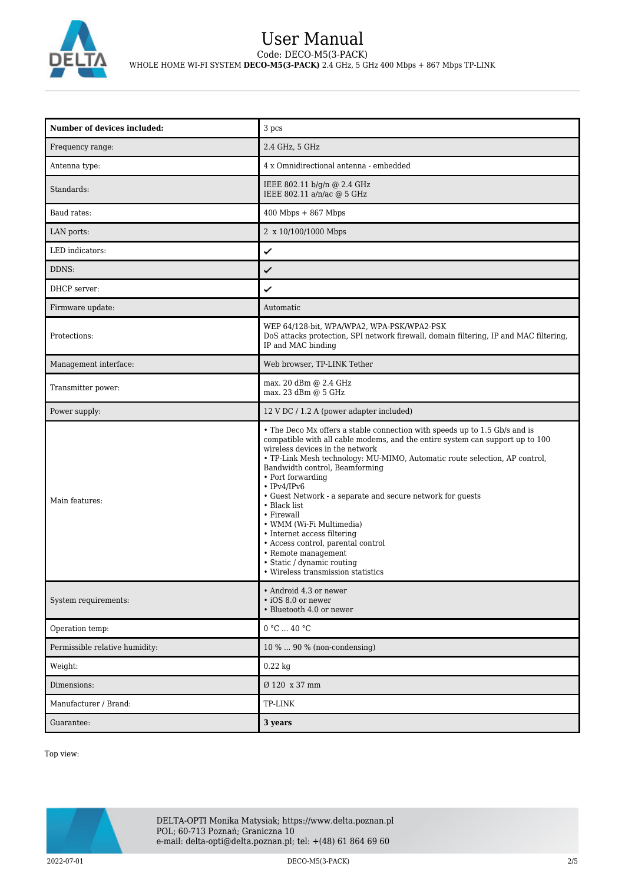

## User Manual Code: DECO-M5(3-PACK) WHOLE HOME WI-FI SYSTEM **DECO-M5(3-PACK)** 2.4 GHz, 5 GHz 400 Mbps + 867 Mbps TP-LINK

| Number of devices included:    | 3 pcs                                                                                                                                                                                                                                                                                                                                                                                                                                                                                                                                                                                                                                                  |
|--------------------------------|--------------------------------------------------------------------------------------------------------------------------------------------------------------------------------------------------------------------------------------------------------------------------------------------------------------------------------------------------------------------------------------------------------------------------------------------------------------------------------------------------------------------------------------------------------------------------------------------------------------------------------------------------------|
| Frequency range:               | 2.4 GHz, 5 GHz                                                                                                                                                                                                                                                                                                                                                                                                                                                                                                                                                                                                                                         |
| Antenna type:                  | 4 x Omnidirectional antenna - embedded                                                                                                                                                                                                                                                                                                                                                                                                                                                                                                                                                                                                                 |
| Standards:                     | IEEE 802.11 b/g/n @ 2.4 GHz<br>IEEE 802.11 a/n/ac @ 5 GHz                                                                                                                                                                                                                                                                                                                                                                                                                                                                                                                                                                                              |
| Baud rates:                    | $400$ Mbps + $867$ Mbps                                                                                                                                                                                                                                                                                                                                                                                                                                                                                                                                                                                                                                |
| LAN ports:                     | 2 x 10/100/1000 Mbps                                                                                                                                                                                                                                                                                                                                                                                                                                                                                                                                                                                                                                   |
| LED indicators:                | ✓                                                                                                                                                                                                                                                                                                                                                                                                                                                                                                                                                                                                                                                      |
| DDNS:                          | ✓                                                                                                                                                                                                                                                                                                                                                                                                                                                                                                                                                                                                                                                      |
| DHCP server:                   | ✓                                                                                                                                                                                                                                                                                                                                                                                                                                                                                                                                                                                                                                                      |
| Firmware update:               | Automatic                                                                                                                                                                                                                                                                                                                                                                                                                                                                                                                                                                                                                                              |
| Protections:                   | WEP 64/128-bit, WPA/WPA2, WPA-PSK/WPA2-PSK<br>DoS attacks protection, SPI network firewall, domain filtering, IP and MAC filtering,<br>IP and MAC binding                                                                                                                                                                                                                                                                                                                                                                                                                                                                                              |
| Management interface:          | Web browser, TP-LINK Tether                                                                                                                                                                                                                                                                                                                                                                                                                                                                                                                                                                                                                            |
| Transmitter power:             | max. 20 dBm @ 2.4 GHz<br>max. 23 dBm @ 5 GHz                                                                                                                                                                                                                                                                                                                                                                                                                                                                                                                                                                                                           |
| Power supply:                  | 12 V DC / 1.2 A (power adapter included)                                                                                                                                                                                                                                                                                                                                                                                                                                                                                                                                                                                                               |
| Main features:                 | • The Deco Mx offers a stable connection with speeds up to 1.5 Gb/s and is<br>compatible with all cable modems, and the entire system can support up to 100<br>wireless devices in the network<br>• TP-Link Mesh technology: MU-MIMO, Automatic route selection, AP control,<br>Bandwidth control, Beamforming<br>• Port forwarding<br>$\cdot$ IPv4/IPv6<br>• Guest Network - a separate and secure network for guests<br>$\cdot$ Black list<br>• Firewall<br>• WMM (Wi-Fi Multimedia)<br>• Internet access filtering<br>· Access control, parental control<br>• Remote management<br>• Static / dynamic routing<br>• Wireless transmission statistics |
| System requirements:           | · Android 4.3 or newer<br>• iOS 8.0 or newer<br>• Bluetooth 4.0 or newer                                                                                                                                                                                                                                                                                                                                                                                                                                                                                                                                                                               |
| Operation temp:                | 0 °C  40 °C                                                                                                                                                                                                                                                                                                                                                                                                                                                                                                                                                                                                                                            |
| Permissible relative humidity: | 10 %  90 % (non-condensing)                                                                                                                                                                                                                                                                                                                                                                                                                                                                                                                                                                                                                            |
| Weight:                        | $0.22$ kg                                                                                                                                                                                                                                                                                                                                                                                                                                                                                                                                                                                                                                              |
| Dimensions:                    | Ø 120 x 37 mm                                                                                                                                                                                                                                                                                                                                                                                                                                                                                                                                                                                                                                          |
| Manufacturer / Brand:          | TP-LINK                                                                                                                                                                                                                                                                                                                                                                                                                                                                                                                                                                                                                                                |
| Guarantee:                     | 3 years                                                                                                                                                                                                                                                                                                                                                                                                                                                                                                                                                                                                                                                |

Top view:

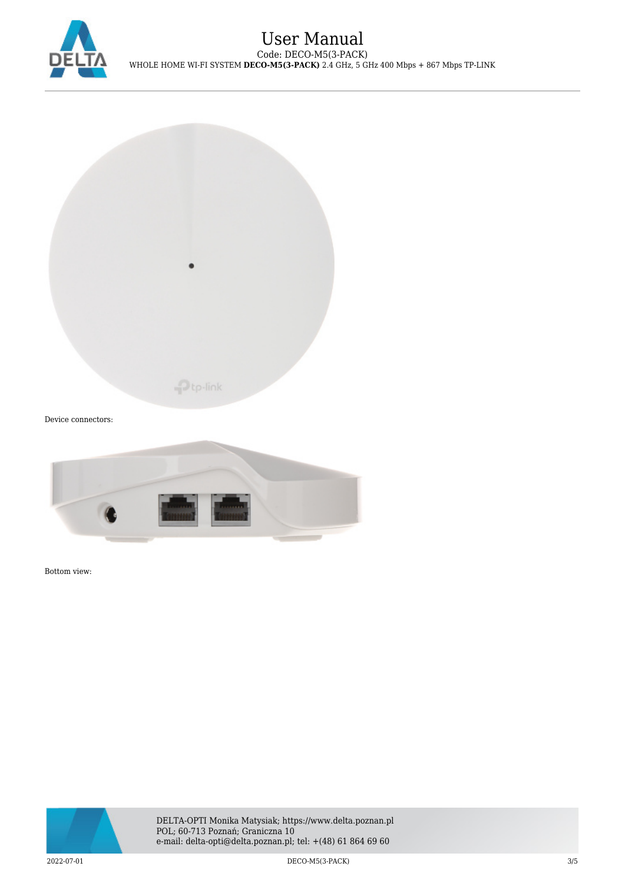



Device connectors:



Bottom view:

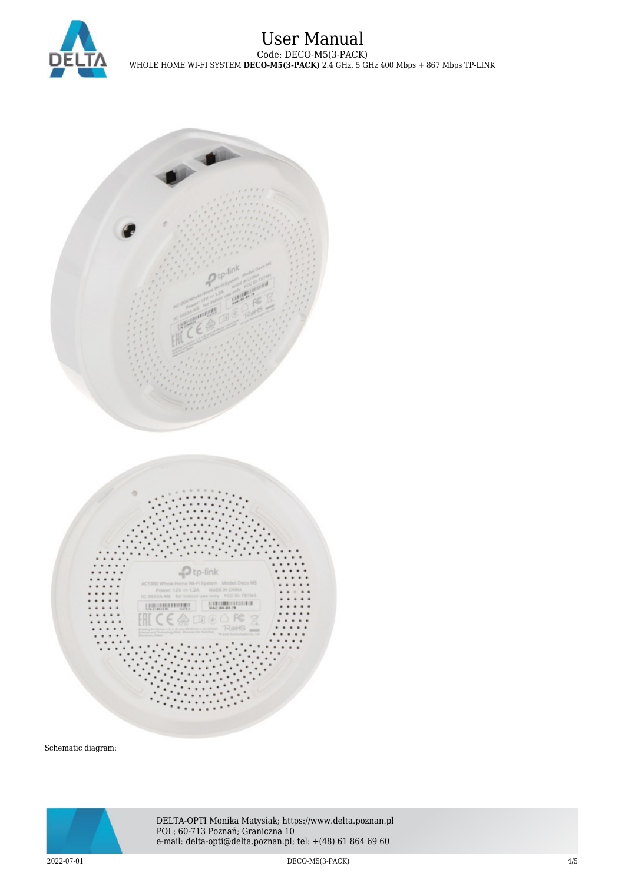



Schematic diagram:



DELTA-OPTI Monika Matysiak; https://www.delta.poznan.pl POL; 60-713 Poznań; Graniczna 10 e-mail: delta-opti@delta.poznan.pl; tel: +(48) 61 864 69 60

2022-07-01 DECO-M5(3-PACK) 4/5